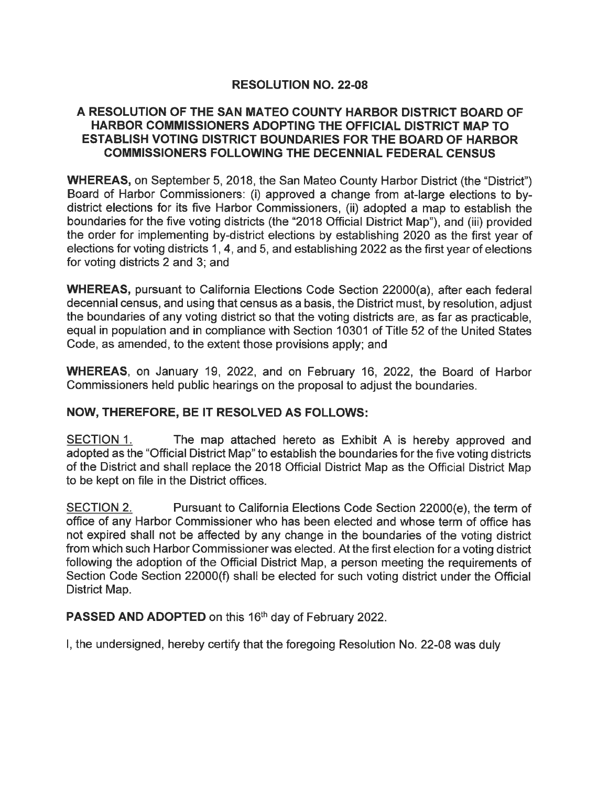## RESOLUTION NO. 22-08

#### A RESOLUTION OF THE SAN MATEO COUNTY HARBOR DISTRICT BOARD OF HARBOR COMMISSIONERS ADOPTING THE OFFICIAL DISTRICT MAP TO ESTABLISH VOTING DISTRICT BOUNDARIES FOR THE BOARD OF HARBOR COMMISSIONERS FOLLOWING THE DECENNIAL FEDERAL CENSUS

WHEREAS, on September 5, 2018, the San Mateo County Harbor District (the "District") Board of Harbor Commissioners: (i) approved a change from at-large elections to bydistrict elections for its five Harbor Commissioners, (ii) adopted a map to establish the boundaries for the five voting districts (the "2018 Official District Map"), and (iii) provided the order for implementing by-district elections by establishing 2020 as the first year of elections for voting districts 1, 4, and 5, and establishing 2022 as the first year of elections for voting districts 2 and 3; and

WHEREAS, pursuant to California Elections Code Section 22000(a), after each federal decennial census, and using that census as a basis, the District must, by resolution, adjust the boundaries of any voting district so that the voting districts are, as far as practicable, equal in population and in compliance with Section 10301 of Title 52 of the United States Code, as amended, to the extent those provisions apply; and

WHEREAS, on January 19, 2022, and on February 16, 2022, the Board of Harbor Commissioners held public hearings on the proposal to adjust the boundaries.

## NOW, THEREFORE, BE IT RESOLVED AS FOLLOWS:

SECTION 1. The map attached hereto as Exhibit A is hereby approved and adopted as the "Official District Map" to establish the boundaries for the five voting districts of the District and shall replace the 2018 Official District Map as the Official District Map to be kept on file in the District offices.

SECTION 2. Pursuant to California Elections Code Section 22000(e), the term of office of any Harbor Commissioner who has been elected and whose term of office has not expired shall not be affected by any change in the boundaries of the voting district from which such Harbor Commissioner was elected. At the first election for a voting district following the adoption of the Official District Map, a person meeting the requirements of Section Code Section 22000(f) shall be elected for such voting district under the Official District Map.

PASSED AND ADOPTED on this 16<sup>th</sup> day of February 2022.

I, the undersigned, hereby certify that the foregoing Resolution No. 22-08 was duly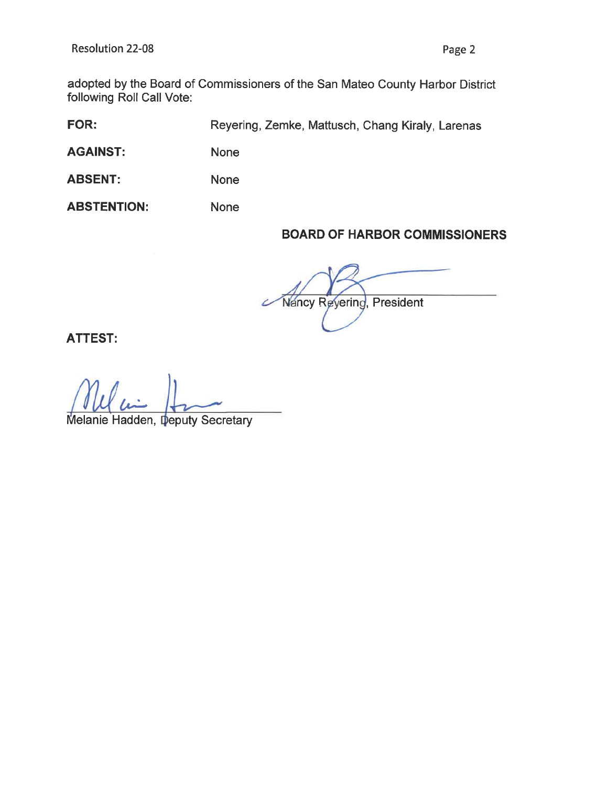adopted by the Board of Commissioners of the San Mateo County Harbor District following Roll Call Vote:

FOR: Reyering, Zemke, Mattusch, Chang Kiraly, Larenas

None

AGAINST: None

ABSENT: None

ABSTENTION:

# BOARD OF HARBOR COMMISSIONERS

Nancy Reyering, President

ATTEST:

 $\overline{\mu}$ 

Melanie Hadden, Deputy Secretary